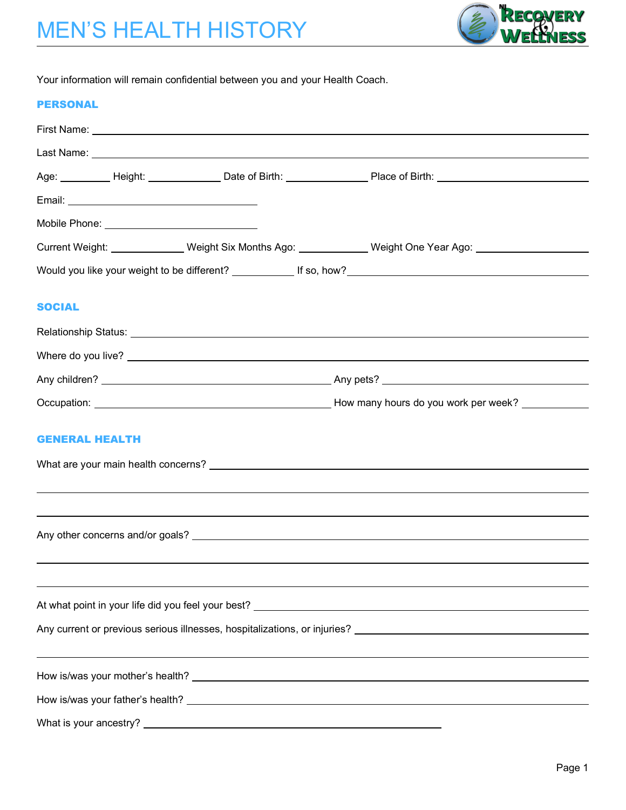

Your information will remain confidential between you and your Health Coach.

#### PERSONAL

|               |                       |  | Age: __________ Height: _______________ Date of Birth: _________________ Place of Birth: _____________________ |  |  |  |  |
|---------------|-----------------------|--|----------------------------------------------------------------------------------------------------------------|--|--|--|--|
|               |                       |  |                                                                                                                |  |  |  |  |
|               |                       |  |                                                                                                                |  |  |  |  |
|               |                       |  | Current Weight: _______________ Weight Six Months Ago: _____________ Weight One Year Ago: ________________     |  |  |  |  |
|               |                       |  |                                                                                                                |  |  |  |  |
| <b>SOCIAL</b> |                       |  |                                                                                                                |  |  |  |  |
|               |                       |  |                                                                                                                |  |  |  |  |
|               |                       |  |                                                                                                                |  |  |  |  |
|               |                       |  |                                                                                                                |  |  |  |  |
|               |                       |  |                                                                                                                |  |  |  |  |
|               | <b>GENERAL HEALTH</b> |  |                                                                                                                |  |  |  |  |
|               |                       |  |                                                                                                                |  |  |  |  |
|               |                       |  |                                                                                                                |  |  |  |  |
|               |                       |  |                                                                                                                |  |  |  |  |
|               |                       |  |                                                                                                                |  |  |  |  |
|               |                       |  |                                                                                                                |  |  |  |  |
|               |                       |  |                                                                                                                |  |  |  |  |
|               |                       |  |                                                                                                                |  |  |  |  |
|               |                       |  |                                                                                                                |  |  |  |  |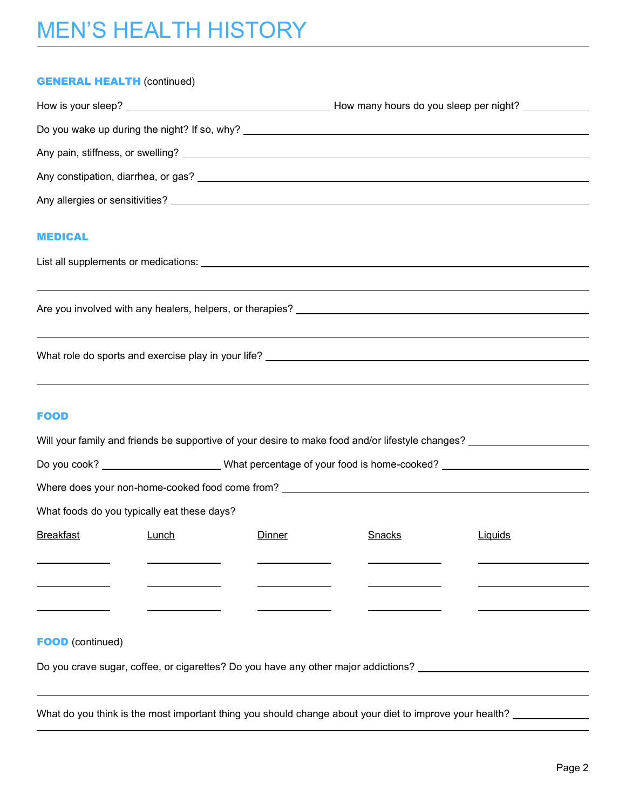# MEN'S HEALTH HISTORY

#### **GENERAL HEALTH (continued)**

|                                                                                  | How many hours do you sleep per night? |
|----------------------------------------------------------------------------------|----------------------------------------|
| Do you wake up during the night? If so, why? ___________________________________ |                                        |
|                                                                                  |                                        |
|                                                                                  |                                        |
|                                                                                  |                                        |
|                                                                                  |                                        |

#### MEDICAL

| List all supplements or medications: |  |
|--------------------------------------|--|
|--------------------------------------|--|

Are you involved with any healers, helpers, or therapies?

What role do sports and exercise play in your life?

### FOOD

|                                             |       |                                                                                                            | Will your family and friends be supportive of your desire to make food and/or lifestyle changes? |         |  |
|---------------------------------------------|-------|------------------------------------------------------------------------------------------------------------|--------------------------------------------------------------------------------------------------|---------|--|
|                                             |       | Do you cook? __________________________What percentage of your food is home-cooked? ______________________ |                                                                                                  |         |  |
|                                             |       |                                                                                                            | Where does your non-home-cooked food come from? ________________________________                 |         |  |
| What foods do you typically eat these days? |       |                                                                                                            |                                                                                                  |         |  |
| Breakfast                                   | Lunch | Dinner                                                                                                     | Snacks                                                                                           | Liquids |  |
|                                             |       |                                                                                                            |                                                                                                  |         |  |
|                                             |       |                                                                                                            |                                                                                                  |         |  |
|                                             |       |                                                                                                            |                                                                                                  |         |  |
| <b>FOOD</b> (continued)                     |       |                                                                                                            |                                                                                                  |         |  |
|                                             |       |                                                                                                            | Do you crave sugar, coffee, or cigarettes? Do you have any other major addictions?               |         |  |

What do you think is the most important thing you should change about your diet to improve your health?